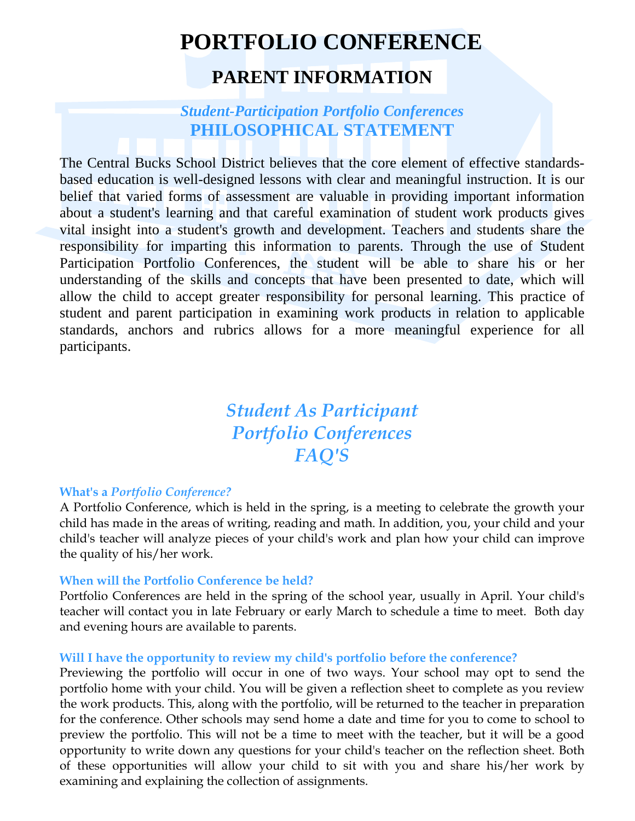# **PORTFOLIO CONFERENCE PARENT INFORMATION**

### *Student-Participation Portfolio Conferences*  **PHILOSOPHICAL STATEMENT**

The Central Bucks School District believes that the core element of effective standardsbased education is well-designed lessons with clear and meaningful instruction. It is our belief that varied forms of assessment are valuable in providing important information about a student's learning and that careful examination of student work products gives vital insight into a student's growth and development. Teachers and students share the responsibility for imparting this information to parents. Through the use of Student Participation Portfolio Conferences, the student will be able to share his or her understanding of the skills and concepts that have been presented to date, which will allow the child to accept greater responsibility for personal learning. This practice of student and parent participation in examining work products in relation to applicable standards, anchors and rubrics allows for a more meaningful experience for all participants.

# *Student As Participant Portfolio Conferences FAQ'S*

#### **What's a** *Portfolio Conference?*

A Portfolio Conference, which is held in the spring, is a meeting to celebrate the growth your child has made in the areas of writing, reading and math. In addition, you, your child and your child's teacher will analyze pieces of your child's work and plan how your child can improve the quality of his/her work.

#### **When will the Portfolio Conference be held?**

Portfolio Conferences are held in the spring of the school year, usually in April. Your child's teacher will contact you in late February or early March to schedule a time to meet. Both day and evening hours are available to parents.

#### **Will I have the opportunity to review my child's portfolio before the conference?**

Previewing the portfolio will occur in one of two ways. Your school may opt to send the portfolio home with your child. You will be given a reflection sheet to complete as you review the work products. This, along with the portfolio, will be returned to the teacher in preparation for the conference. Other schools may send home a date and time for you to come to school to preview the portfolio. This will not be a time to meet with the teacher, but it will be a good opportunity to write down any questions for your child's teacher on the reflection sheet. Both of these opportunities will allow your child to sit with you and share his/her work by examining and explaining the collection of assignments.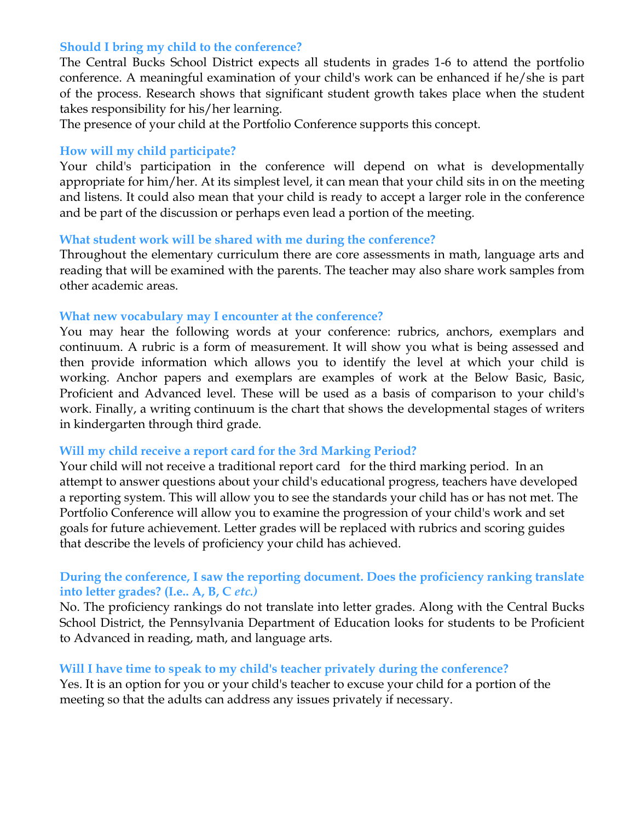#### **Should I bring my child to the conference?**

The Central Bucks School District expects all students in grades 1-6 to attend the portfolio conference. A meaningful examination of your child's work can be enhanced if he/she is part of the process. Research shows that significant student growth takes place when the student takes responsibility for his/her learning.

The presence of your child at the Portfolio Conference supports this concept.

#### **How will my child participate?**

Your child's participation in the conference will depend on what is developmentally appropriate for him/her. At its simplest level, it can mean that your child sits in on the meeting and listens. It could also mean that your child is ready to accept a larger role in the conference and be part of the discussion or perhaps even lead a portion of the meeting.

#### **What student work will be shared with me during the conference?**

Throughout the elementary curriculum there are core assessments in math, language arts and reading that will be examined with the parents. The teacher may also share work samples from other academic areas.

#### **What new vocabulary may I encounter at the conference?**

You may hear the following words at your conference: rubrics, anchors, exemplars and continuum. A rubric is a form of measurement. It will show you what is being assessed and then provide information which allows you to identify the level at which your child is working. Anchor papers and exemplars are examples of work at the Below Basic, Basic, Proficient and Advanced level. These will be used as a basis of comparison to your child's work. Finally, a writing continuum is the chart that shows the developmental stages of writers in kindergarten through third grade.

#### **Will my child receive a report card for the 3rd Marking Period?**

Your child will not receive a traditional report card for the third marking period. In an attempt to answer questions about your child's educational progress, teachers have developed a reporting system. This will allow you to see the standards your child has or has not met. The Portfolio Conference will allow you to examine the progression of your child's work and set goals for future achievement. Letter grades will be replaced with rubrics and scoring guides that describe the levels of proficiency your child has achieved.

#### **During the conference, I saw the reporting document. Does the proficiency ranking translate into letter grades? (I.e.. A, B, C** *etc.)*

No. The proficiency rankings do not translate into letter grades. Along with the Central Bucks School District, the Pennsylvania Department of Education looks for students to be Proficient to Advanced in reading, math, and language arts.

#### **Will I have time to speak to my child's teacher privately during the conference?**

Yes. It is an option for you or your child's teacher to excuse your child for a portion of the meeting so that the adults can address any issues privately if necessary.